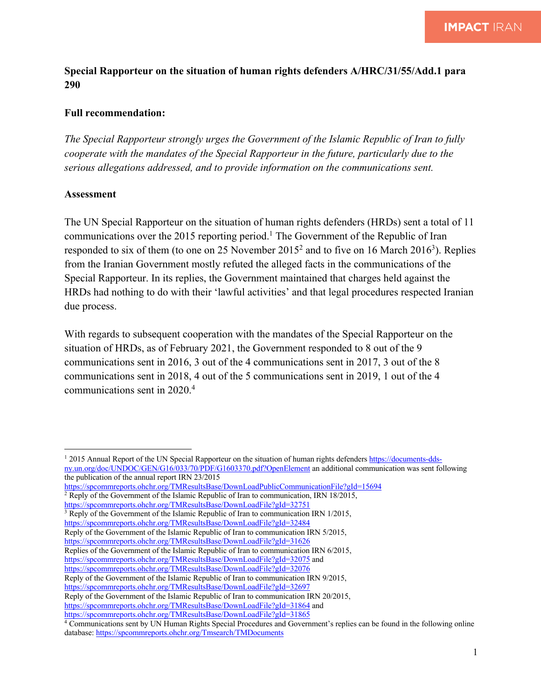## **Special Rapporteur on the situation of human rights defenders A/HRC/31/55/Add.1 para 290**

## **Full recommendation:**

*The Special Rapporteur strongly urges the Government of the Islamic Republic of Iran to fully cooperate with the mandates of the Special Rapporteur in the future, particularly due to the serious allegations addressed, and to provide information on the communications sent.* 

## **Assessment**

The UN Special Rapporteur on the situation of human rights defenders (HRDs) sent a total of 11 communications over the 2015 reporting period.<sup>1</sup> The Government of the Republic of Iran responded to six of them (to one on 25 November  $2015^2$  and to five on 16 March 2016<sup>3</sup>). Replies from the Iranian Government mostly refuted the alleged facts in the communications of the Special Rapporteur. In its replies, the Government maintained that charges held against the HRDs had nothing to do with their 'lawful activities' and that legal procedures respected Iranian due process.

With regards to subsequent cooperation with the mandates of the Special Rapporteur on the situation of HRDs, as of February 2021, the Government responded to 8 out of the 9 communications sent in 2016, 3 out of the 4 communications sent in 2017, 3 out of the 8 communications sent in 2018, 4 out of the 5 communications sent in 2019, 1 out of the 4 communications sent in 2020.4

```
https://spcommreports.ohchr.org/TMResultsBase/DownLoadPublicCommunicationFile?gId=15694
2 Reply of the Government of the Islamic Republic of Iran to communication, IRN 18/2015,
```

```
https://spcommreports.ohchr.org/TMResultsBase/DownLoadFile?gId=32751
```
https://spcommreports.ohchr.org/TMResultsBase/DownLoadFile?gId=32484 Reply of the Government of the Islamic Republic of Iran to communication IRN 5/2015,

Replies of the Government of the Islamic Republic of Iran to communication IRN 6/2015,

https://spcommreports.ohchr.org/TMResultsBase/DownLoadFile?gId=32075 and

https://spcommreports.ohchr.org/TMResultsBase/DownLoadFile?gId=32076

```
Reply of the Government of the Islamic Republic of Iran to communication IRN 9/2015,
```
https://spcommreports.ohchr.org/TMResultsBase/DownLoadFile?gId=32697

Reply of the Government of the Islamic Republic of Iran to communication IRN 20/2015,

https://spcommreports.ohchr.org/TMResultsBase/DownLoadFile?gId=31864 and

https://spcommreports.ohchr.org/TMResultsBase/DownLoadFile?gId=31865

<sup>&</sup>lt;sup>1</sup> 2015 Annual Report of the UN Special Rapporteur on the situation of human rights defenders https://documents-ddsny.un.org/doc/UNDOC/GEN/G16/033/70/PDF/G1603370.pdf?OpenElement an additional communication was sent following

the publication of the annual report IRN 23/2015

<sup>3</sup> Reply of the Government of the Islamic Republic of Iran to communication IRN 1/2015,

https://spcommreports.ohchr.org/TMResultsBase/DownLoadFile?gId=31626

<sup>4</sup> Communications sent by UN Human Rights Special Procedures and Government's replies can be found in the following online database: https://spcommreports.ohchr.org/Tmsearch/TMDocuments